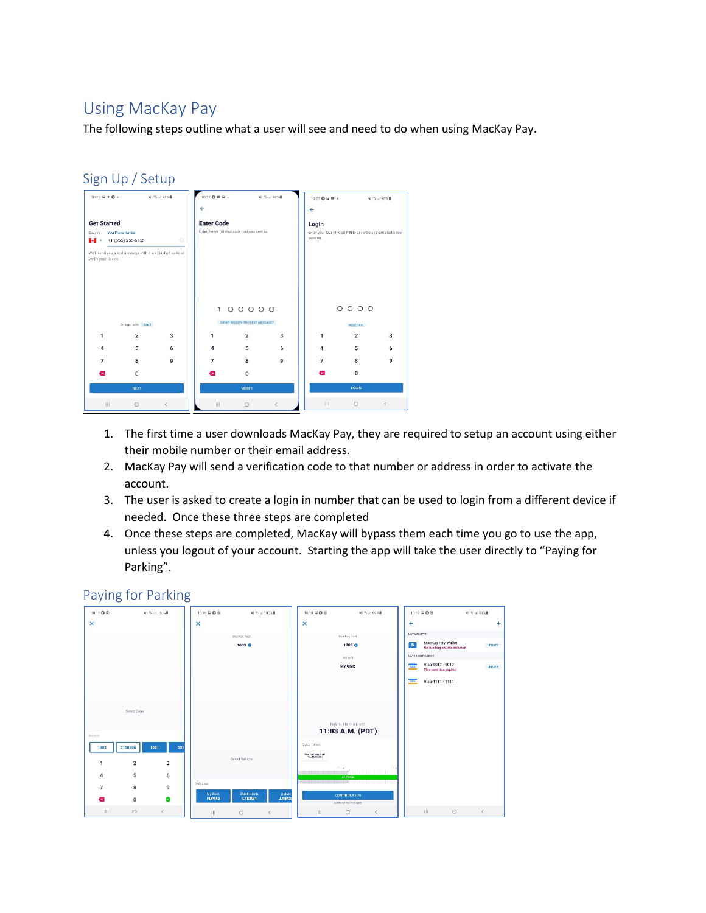## Using MacKay Pay

The following steps outline what a user will see and need to do when using MacKay Pay.

| $\leftarrow$<br>$\leftarrow$<br><b>Enter Code</b><br><b>Get Started</b><br>Login<br>Enter the six (6) digit code that was sent to:<br><b>Your Phone Number</b><br>Country<br>session.<br>$\circ$<br>+1 (555) 555-5555<br>ы<br>We'll send you a text message with a six (6) digit code to<br>verify your device<br>100000 |                  | Enter your four (4) digit PIN to open the app and start a new |  |
|--------------------------------------------------------------------------------------------------------------------------------------------------------------------------------------------------------------------------------------------------------------------------------------------------------------------------|------------------|---------------------------------------------------------------|--|
|                                                                                                                                                                                                                                                                                                                          |                  |                                                               |  |
|                                                                                                                                                                                                                                                                                                                          |                  |                                                               |  |
|                                                                                                                                                                                                                                                                                                                          |                  |                                                               |  |
|                                                                                                                                                                                                                                                                                                                          |                  |                                                               |  |
|                                                                                                                                                                                                                                                                                                                          |                  |                                                               |  |
|                                                                                                                                                                                                                                                                                                                          |                  |                                                               |  |
|                                                                                                                                                                                                                                                                                                                          |                  |                                                               |  |
|                                                                                                                                                                                                                                                                                                                          |                  |                                                               |  |
|                                                                                                                                                                                                                                                                                                                          |                  |                                                               |  |
|                                                                                                                                                                                                                                                                                                                          | 0000             |                                                               |  |
| DIDN'T RECEIVE THE TEXT MESSAGE?<br>Or login with Email                                                                                                                                                                                                                                                                  | <b>RESET PIN</b> |                                                               |  |
| $\overline{2}$<br>3<br>$\overline{2}$<br>3<br>1<br>$\mathbf{1}$<br>1                                                                                                                                                                                                                                                     | $\overline{2}$   | 3                                                             |  |
| 5<br>6<br>5<br>$\overline{\mathbf{A}}$<br>6<br>4<br>4                                                                                                                                                                                                                                                                    | 5                | 6                                                             |  |
| 9<br>7<br>8<br>7<br>8<br>9<br>7                                                                                                                                                                                                                                                                                          | 8                | 9                                                             |  |
| $\bf{0}$<br>$\overline{\mathbf{x}}$<br>0<br>Œ<br>×                                                                                                                                                                                                                                                                       | $\mathbf{0}$     |                                                               |  |
| <b>NEXT</b><br><b>VERIFY</b>                                                                                                                                                                                                                                                                                             | <b>LOGIN</b>     |                                                               |  |
| <b>III</b><br>Ш<br>$\Box$<br>$\langle$<br>$\Box$<br>L                                                                                                                                                                                                                                                                    |                  | $\,<\,$                                                       |  |

- 1. The first time a user downloads MacKay Pay, they are required to setup an account using either their mobile number or their email address.
- 2. MacKay Pay will send a verification code to that number or address in order to activate the account.
- 3. The user is asked to create a login in number that can be used to login from a different device if needed. Once these three steps are completed
- 4. Once these steps are completed, MacKay will bypass them each time you go to use the app, unless you logout of your account. Starting the app will take the user directly to "Paying for Parking".

## Paying for Parking